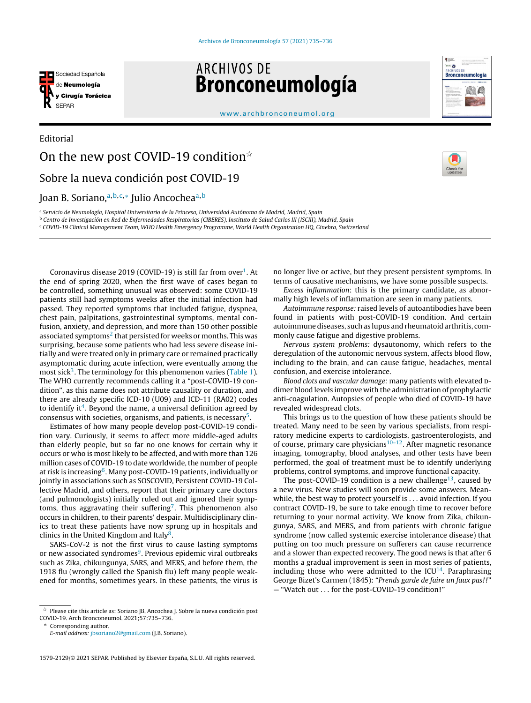

**ARCHIVOS DE** Bronconeumología



[www.archbronconeumol.org](http://www.archbronconeumol.org)

## Editorial On the new post COVID-19 condition $\dot{x}$ Sobre la nueva condición post COVID-19

## Joan B. Soriano,ª<sup>,b,c,</sup>\* Julio Ancochea<sup>a,b</sup>

<sup>a</sup> Servicio de Neumología, Hospital Universitario de la Princesa, Universidad Autónoma de Madrid, Madrid, Spain <sup>b</sup> Centro de Investigación en Red de Enfermedades Respiratorias (CIBERES), Instituto de Salud Carlos III (ISCIII), Madrid, Spain <sup>c</sup> COVID-19 Clinical Management Team, WHO Health Emergency Programme, World Health Organization HQ, Ginebra, Switzerland

Coronavirus disease 20[1](#page-1-0)9 (COVID-19) is still far from over $^1$ . At the end of spring 2020, when the first wave of cases began to be controlled, something unusual was observed: some COVID-19 patients still had symptoms weeks after the initial infection had passed. They reported symptoms that included fatigue, dyspnea, chest pain, palpitations, gastrointestinal symptoms, mental confusion, anxiety, and depression, and more than 150 other possible associated symptoms<sup>2</sup> [th](#page-1-0)at persisted for weeks or months. This was surprising, because some patients who had less severe disease initially and were treated only in primary care or remained practically asymptomatic during acute infection, were eventually among the most sick<sup>[3](#page-1-0)</sup>. The terminology for this phenomenon varies [\(Table](#page-1-0) 1). The WHO currently recommends calling it a "post-COVID-19 condition", as this name does not attribute causality or duration, and there are already specific ICD-10 (U09) and ICD-11 (RA02) codes to identify it<sup>[4](#page-1-0)</sup>. Beyond the name, a universal definition agreed by consensus with societies, organisms, and patients, is necessary<sup>[5](#page-1-0)</sup>.

Estimates of how many people develop post-COVID-19 condition vary. Curiously, it seems to affect more middle-aged adults than elderly people, but so far no one knows for certain why it occurs or who is most likely to be affected, and with more than 126 million cases of COVID-19 to date worldwide, the number of people at risk is increasing<sup>[6](#page-1-0)</sup>. Many post-COVID-19 patients, individually or jointly in associations such as SOSCOVID, Persistent COVID-19 Collective Madrid, and others, report that their primary care doctors (and pulmonologists) initially ruled out and ignored their symp-toms, thus aggravating their suffering<sup>[7](#page-1-0)</sup>. This phenomenon also occurs in children, to their parents' despair. Multidisciplinary clinics to treat these patients have now sprung up in hospitals and clinics in the United Kingdom and Italy<sup>[8](#page-1-0)</sup>.

SARS-CoV-2 is not the first virus to cause lasting symptoms or new associated syndromes<sup>[9](#page-1-0)</sup>. Previous epidemic viral outbreaks such as Zika, chikungunya, SARS, and MERS, and before them, the 1918 flu (wrongly called the Spanish flu) left many people weakened for months, sometimes years. In these patients, the virus is

no longer live or active, but they present persistent symptoms. In terms of causative mechanisms, we have some possible suspects.

Excess inflammation: this is the primary candidate, as abnormally high levels of inflammation are seen in many patients.

Autoimmune response: raised levels of autoantibodies have been found in patients with post-COVID-19 condition. And certain autoimmune diseases, such as lupus and rheumatoid arthritis, commonly cause fatigue and digestive problems.

Nervous system problems: dysautonomy, which refers to the deregulation of the autonomic nervous system, affects blood flow, including to the brain, and can cause fatigue, headaches, mental confusion, and exercise intolerance.

Blood clots and vascular damage: many patients with elevated pdimer blood levels improve with the administration of prophylactic anti-coagulation. Autopsies of people who died of COVID-19 have revealed widespread clots.

This brings us to the question of how these patients should be treated. Many need to be seen by various specialists, from respiratory medicine experts to cardiologists, gastroenterologists, and of course, primary care physicians $10-12$ . After magnetic resonance imaging, tomography, blood analyses, and other tests have been performed, the goal of treatment must be to identify underlying problems, control symptoms, and improve functional capacity.

The post-COVID-19 condition is a new challenge $^{13}$  $^{13}$  $^{13}$ , caused by a new virus. New studies will soon provide some answers. Meanwhile, the best way to protect yourself is . . . avoid infection. If you contract COVID-19, be sure to take enough time to recover before returning to your normal activity. We know from Zika, chikungunya, SARS, and MERS, and from patients with chronic fatigue syndrome (now called systemic exercise intolerance disease) that putting on too much pressure on sufferers can cause recurrence and a slower than expected recovery. The good news is that after 6 months a gradual improvement is seen in most series of patients, including those who were admitted to the  $ICU<sup>14</sup>$  $ICU<sup>14</sup>$  $ICU<sup>14</sup>$ . Paraphrasing George Bizet's Carmen (1845): "Prends garde de faire un faux pas!!" — "Watch out . . . for the post-COVID-19 condition!"

 $^\star$  Please cite this article as: Soriano JB, Ancochea J. Sobre la nueva condición post COVID-19. Arch Bronconeumol. 2021;57:735–736.

Corresponding author.

E-mail address: [jbsoriano2@gmail.com](mailto:jbsoriano2@gmail.com) (J.B. Soriano).